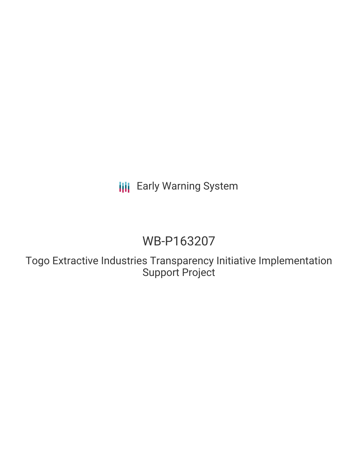# **III** Early Warning System

# WB-P163207

Togo Extractive Industries Transparency Initiative Implementation Support Project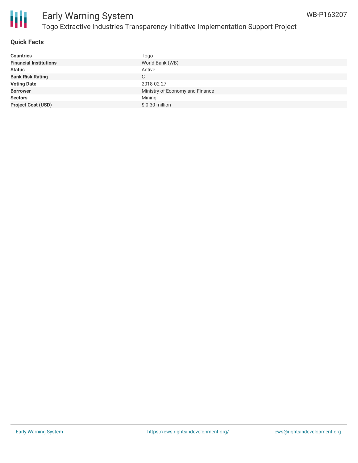



# Early Warning System Togo Extractive Industries Transparency Initiative Implementation Support Project

#### **Quick Facts**

| <b>Countries</b>              | Togo                            |
|-------------------------------|---------------------------------|
| <b>Financial Institutions</b> | World Bank (WB)                 |
| <b>Status</b>                 | Active                          |
| <b>Bank Risk Rating</b>       | С                               |
| <b>Voting Date</b>            | 2018-02-27                      |
| <b>Borrower</b>               | Ministry of Economy and Finance |
| <b>Sectors</b>                | Mining                          |
| <b>Project Cost (USD)</b>     | \$0.30 million                  |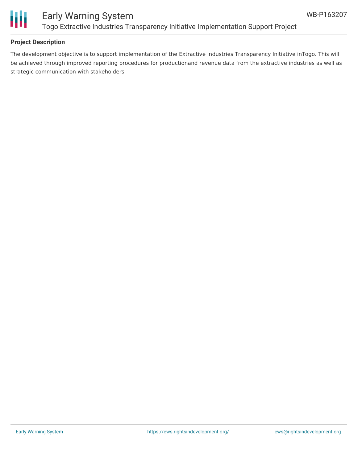

## Early Warning System Togo Extractive Industries Transparency Initiative Implementation Support Project

#### **Project Description**

The development objective is to support implementation of the Extractive Industries Transparency Initiative inTogo. This will be achieved through improved reporting procedures for productionand revenue data from the extractive industries as well as strategic communication with stakeholders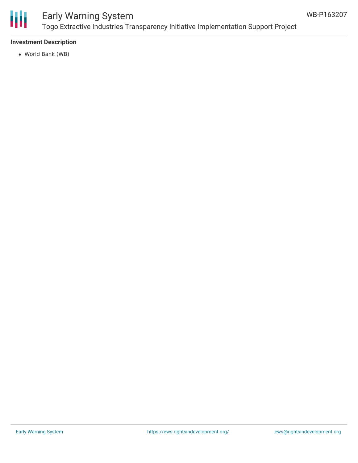

## Early Warning System Togo Extractive Industries Transparency Initiative Implementation Support Project

#### **Investment Description**

World Bank (WB)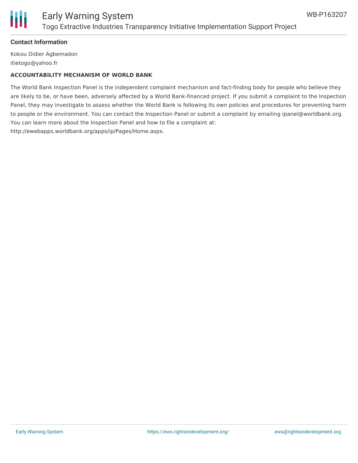

# Ш

### Early Warning System Togo Extractive Industries Transparency Initiative Implementation Support Project

#### **Contact Information**

Kokou Didier Agbemadon itietogo@yahoo.fr

#### **ACCOUNTABILITY MECHANISM OF WORLD BANK**

The World Bank Inspection Panel is the independent complaint mechanism and fact-finding body for people who believe they are likely to be, or have been, adversely affected by a World Bank-financed project. If you submit a complaint to the Inspection Panel, they may investigate to assess whether the World Bank is following its own policies and procedures for preventing harm to people or the environment. You can contact the Inspection Panel or submit a complaint by emailing ipanel@worldbank.org. You can learn more about the Inspection Panel and how to file a complaint at: http://ewebapps.worldbank.org/apps/ip/Pages/Home.aspx.